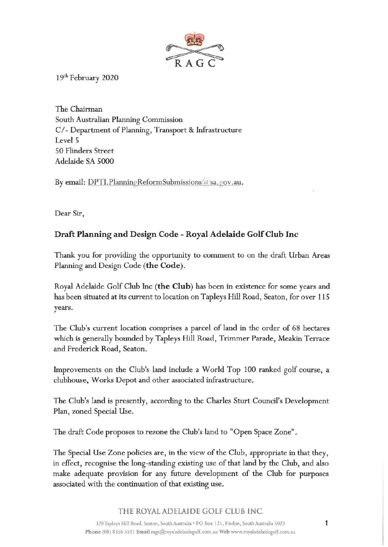

19th February 2020

The Chairman South Australian Planning Commission *Cl* - Department of Planning, Transport & Infrastructure Level 5 50 Flinders Street Adelaide SA 5000

By email:  $DPTI.$  Planning Reform Submissions (*t*) sa. gov.au.

Dear Sir,

## **Draft Planning and Design Code** - **Royal Adelaide Golf Club Inc**

Thank you for providing the opportunity to comment to on the draft Urban Areas Planning and Design Code **(the Code).** 

Royal Adelaide Golf Club Inc **(the Club)** has been in existence for some years and has been situated at its current to location on Tapleys Hill Road, Seaton, for over 115 years.

The Club's current location comprises a parcel of land in the order of 68 hectares which is generally bounded by Tapleys Hill Road, Trimmer Parade, Meakin Terrace and Frederick Road, Seaton.

Improvements on the Club's land include a World Top 100 ranked golf course, a clubhouse, Works Depot and other associated infrastructure.

The Club's land is presently, according to the Charles Sturt Council's Development Plan, zoned Special Use.

The draft Code proposes to rezone the Club's land to "Open Space Zone".

The Special Use Zone policies are, in the view of the Club, appropriate in that they, in effect, recognise the long-standing existing use of that land by the Club, and also make adequate provision for any future development of the Club for purposes associated with the continuation of that existing use.

## THE ROYAL ADELAIDE GOLF CLUB INC.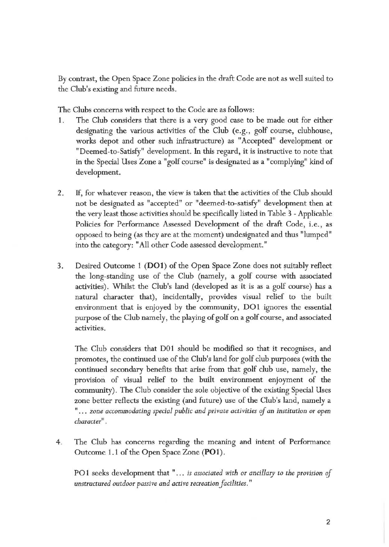By contrast, the Open Space Zone policies in the draft Code are not as well suited to the Club's existing and future needs.

The Clubs concerns with respect to the Code are as follows:

- 1. The Club considers that there is a very good case to be made out for either designating the various activities of the Club (e.g., golf course, clubhouse, works depot and other such infrastructure) as "Accepted" development or "Deemed-to-Satisfy" development. In this regard, it is instructive to note that in the Special Uses Zone a "golf course" is designated as a "complying" kind of development.
- 2. If, for whatever reason, the view is taken that the activities of the Club should not be designated as "accepted" or "deemed-to-satisfy" development then at the very least those activities should be specifically listed in Table 3 - Applicable Policies for Performance Assessed Development of the draft Code, i.e., as opposed to being (as they are at the moment) undesignated and thus "lumped" into the category: "All other Code assessed development."
- 3. Desired Outcome 1 **(D01)** of the Open Space Zone does not suitably reflect the long-standing use of the Club (namely, a golf course with associated activities). Whilst the Club's land (developed as it is as a golf course) has a natural character that), incidentally, provides visual relief to the built environment that is enjoyed by the community, DO1 ignores the essential purpose of the Club namely, the playing of golf on a golf course, and associated activities.

The Club considers that D0l should be modified so that it recognises, and promotes, the continued use of the Club's land for golf club purposes (with the continued secondary benefits that arise from that golf club use, namely, the provision of visual relief to the built environment enjoyment of the community). The Club consider the sole objective of the existing Special Uses zone better reflects the existing (and future) use of the Club's land, namely a "... zone accommodating special public and private activities of an institution or open *character" .* 

4 . The Club has concerns regarding the meaning and intent of Performance Outcome 1. 1 of the Open Space Zone **(PO 1).** 

PO1 seeks development that "... *is associated with or ancillary to the provision of unstructured outdoor passive and active recreation facilities."*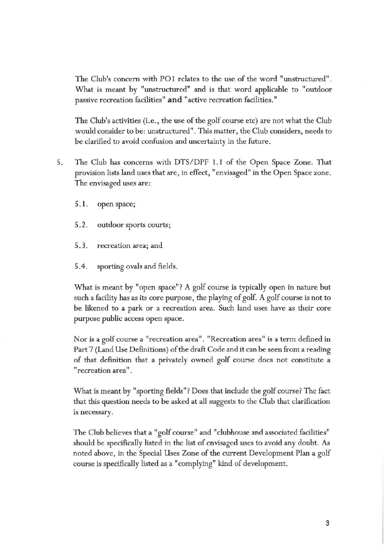The Club's concern with POl relates to the use of the word "unstructured" . What is meant by "unstructured" and is that word applicable to "outdoor passive recreation facilities" **and** "active recreation facilities."

The Club's activities (i.e., the use of the golf course etc) are not what the Club would consider to be: unstructured". This matter, the Club considers, needs to be clarified to avoid confusion and uncertainty in the future.

- 5. The Club has concerns with DTS/DPF 1.1 of the Open Space Zone. That provision lists land uses that are, in effect, "envisaged" in the Open Space zone. The envisaged uses are:
	- 5.1. open space;
	- 5.2. outdoor sports courts;
	- 5. 3. recreation area; and
	- 5.4. sporting ovals and fields.

What is meant by "open space"? A golf course is typically open in nature but such a facility has as its core purpose, the playing of golf. A golf course is not to be likened to a park or a recreation area. Such land uses have as their core purpose public access open space.

Nor is a golf course a "recreation area". "Recreation area" is a term defined in Part 7 (Land Use Definitions) of the draft Code and it can be seen from a reading of that definition that a privately owned golf course does not constitute a "recreation area".

What is meant by "sporting fields"? Does that include the golf course? The fact that this question needs to be asked at all suggests to the Club that clarification is necessary.

The Club believes that a "golf course" and "clubhouse and associated facilities" should be specifically listed in the list of envisaged uses to avoid any doubt. As noted above, in the Special Uses Zone of the current Development Plan a golf course is specifically listed as a "complying" kind of development.